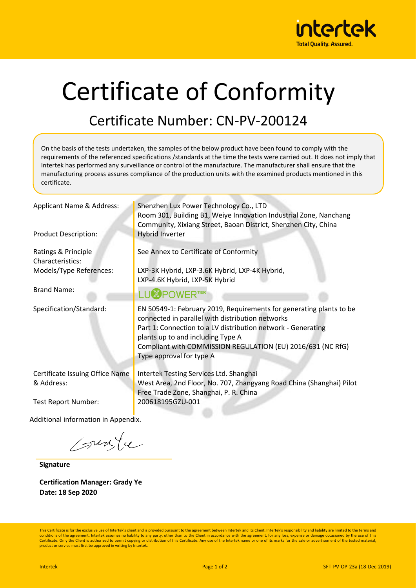

## Certificate of Conformity

## Certificate Number: CN-PV-200124

On the basis of the tests undertaken, the samples of the below product have been found to comply with the requirements of the referenced specifications /standards at the time the tests were carried out. It does not imply that Intertek has performed any surveillance or control of the manufacture. The manufacturer shall ensure that the manufacturing process assures compliance of the production units with the examined products mentioned in this certificate. Applicant Name & Address: Shenzhen Lux Power Technology Co., LTD Room 301, Building B1, Weiye Innovation Industrial Zone, Nanchang Community, Xixiang Street, Baoan District, Shenzhen City, China Product Description: **Hybrid Inverter** See Annex to Certificate of Conformity Ratings & Principle Characteristics: LXP-3K Hybrid, LXP-3.6K Hybrid, LXP-4K Hybrid, Models/Type References: LXP-4.6K Hybrid, LXP-5K Hybrid Brand Name: LU<sup>**X**</sup>POWERTEK</sub> Specification/Standard: EN 50549-1: February 2019, Requirements for generating plants to be connected in parallel with distribution networks Part 1: Connection to a LV distribution network - Generating plants up to and including Type A Compliant with COMMISSION REGULATION (EU) 2016/631 (NC RfG) Type approval for type A Certificate Issuing Office Name Intertek Testing Services Ltd. Shanghai & Address: West Area, 2nd Floor, No. 707, Zhangyang Road China (Shanghai) Pilot Free Trade Zone, Shanghai, P. R. China Test Report Number: 200618195GZU-001 Additional information in Appendix.

sunte

**Signature**

**Certification Manager: Grady Ye Date: 18 Sep 2020**

This Certificate is for the exclusive use of Intertek's client and is provided pursuant to the agreement between Intertek and its Client. Intertek's responsibility and liability are limited to the terms and conditions of the agreement. Intertek assumes no liability to any party, other than to the Client in accordance with the agreement, for any loss, expense or damage occasioned by the use of this Certificate. Only the Client is authorized to permit copying or distribution of this Certificate. Any use of the Intertek name or one of its marks for the sale or advertisement of the tested material product or service must first be approved in writing by Intertek.